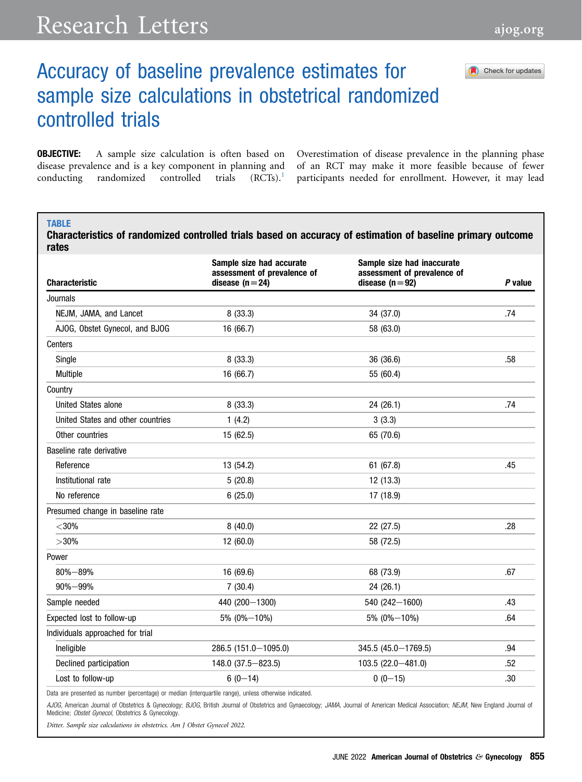## Research Letters [ajog.org](http://www.AJOG.org)

Check for updates

## Accuracy of baseline prevalence estimates for sample size calculations in obstetrical randomized controlled trials

**OBJECTIVE:** A sample size calculation is often based on disease prevalence and is a key component in planning and conducting randomized controlled trials (RCTs).<sup>[1](#page-1-0)</sup>

Overestimation of disease prevalence in the planning phase of an RCT may make it more feasible because of fewer participants needed for enrollment. However, it may lead

## <span id="page-0-0"></span>**TABLE**

Characteristics of randomized controlled trials based on accuracy of estimation of baseline primary outcome rates

| <b>Characteristic</b>             | Sample size had accurate<br>assessment of prevalence of<br>disease $(n=24)$ | Sample size had inaccurate<br>assessment of prevalence of<br>disease $(n=92)$ | P value |
|-----------------------------------|-----------------------------------------------------------------------------|-------------------------------------------------------------------------------|---------|
| Journals                          |                                                                             |                                                                               |         |
| NEJM, JAMA, and Lancet            | 8(33.3)                                                                     | 34 (37.0)                                                                     | .74     |
| AJOG, Obstet Gynecol, and BJOG    | 16 (66.7)                                                                   | 58 (63.0)                                                                     |         |
| Centers                           |                                                                             |                                                                               |         |
| Single                            | 8(33.3)                                                                     | 36 (36.6)                                                                     | .58     |
| Multiple                          | 16 (66.7)                                                                   | 55 (60.4)                                                                     |         |
| Country                           |                                                                             |                                                                               |         |
| United States alone               | 8(33.3)                                                                     | 24 (26.1)                                                                     | .74     |
| United States and other countries | 1(4.2)                                                                      | 3(3.3)                                                                        |         |
| Other countries                   | 15 (62.5)                                                                   | 65 (70.6)                                                                     |         |
| Baseline rate derivative          |                                                                             |                                                                               |         |
| Reference                         | 13 (54.2)                                                                   | 61 (67.8)                                                                     | .45     |
| Institutional rate                | 5(20.8)                                                                     | 12 (13.3)                                                                     |         |
| No reference                      | 6(25.0)                                                                     | 17 (18.9)                                                                     |         |
| Presumed change in baseline rate  |                                                                             |                                                                               |         |
| $<$ 30%                           | 8(40.0)                                                                     | 22 (27.5)                                                                     | .28     |
| $>30\%$                           | 12 (60.0)                                                                   | 58 (72.5)                                                                     |         |
| Power                             |                                                                             |                                                                               |         |
| $80\% - 89\%$                     | 16 (69.6)                                                                   | 68 (73.9)                                                                     | .67     |
| $90\% - 99\%$                     | 7(30.4)                                                                     | 24 (26.1)                                                                     |         |
| Sample needed                     | 440 (200-1300)                                                              | 540 (242-1600)                                                                | .43     |
| Expected lost to follow-up        | 5% (0%-10%)                                                                 | 5% (0%-10%)                                                                   | .64     |
| Individuals approached for trial  |                                                                             |                                                                               |         |
| Ineligible                        | 286.5 (151.0-1095.0)                                                        | 345.5 (45.0-1769.5)                                                           | .94     |
| Declined participation            | 148.0 (37.5 - 823.5)                                                        | 103.5 (22.0 - 481.0)                                                          | .52     |
| Lost to follow-up                 | $6(0-14)$                                                                   | $0(0-15)$                                                                     | .30     |
|                                   |                                                                             |                                                                               |         |

Data are presented as number (percentage) or median (interquartile range), unless otherwise indicated.

AJOG, American Journal of Obstetrics & Gynecology; BJOG, British Journal of Obstetrics and Gynaecology; JAMA, Journal of American Medical Association; NEJM, New England Journal of Medicine; Obstet Gynecol, Obstetrics & Gynecology.

Ditter. Sample size calculations in obstetrics. Am J Obstet Gynecol 2022.